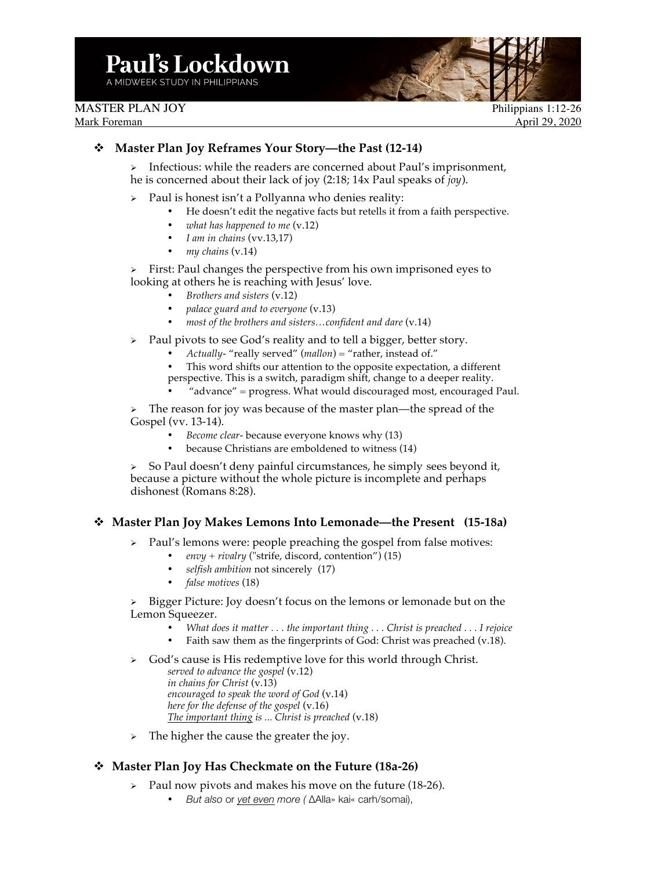MASTER PLAN JOY Philippians 1:12-26

Mark Foreman April 29, 2020

## v **Master Plan Joy Reframes Your Story—the Past (12-14)**

Ø Infectious: while the readers are concerned about Paul's imprisonment, he is concerned about their lack of joy (2:18; 14x Paul speaks of *joy*).

- Paul is honest isn't a Pollyanna who denies reality:
	- He doesn't edit the negative facts but retells it from a faith perspective.
		- *what has happened to me* (v.12)
		- *I am in chains* (vv.13,17)
		- *my chains* (v.14)

 $\triangleright$  First: Paul changes the perspective from his own imprisoned eyes to looking at others he is reaching with Jesus' love.

- *Brothers and sisters* (v.12)
- *palace guard and to everyone* (v.13)
- *most of the brothers and sisters…confident and dare* (v.14)
- $\triangleright$  Paul pivots to see God's reality and to tell a bigger, better story.
	- *Actually-* "really served" (*mallon*) = "rather, instead of."
	- This word shifts our attention to the opposite expectation, a different perspective. This is a switch, paradigm shift, change to a deeper reality.
	- "advance" = progress. What would discouraged most, encouraged Paul.

The reason for joy was because of the master plan—the spread of the Gospel (vv. 13-14).

- *Become clear-* because everyone knows why (13)
- because Christians are emboldened to witness (14)

Ø So Paul doesn't deny painful circumstances, he simply sees beyond it, because a picture without the whole picture is incomplete and perhaps dishonest (Romans 8:28).

## v **Master Plan Joy Makes Lemons Into Lemonade—the Present (15-18a)**

 $\triangleright$  Paul's lemons were: people preaching the gospel from false motives:

- *envy + rivalry* ("strife, discord, contention") (15)
- *selfish ambition* not sincerely (17)
- *false motives* (18)

Bigger Picture: Joy doesn't focus on the lemons or lemonade but on the Lemon Squeezer.

- *What does it matter . . . the important thing . . . Christ is preached . . . I rejoice*
- Faith saw them as the fingerprints of God: Christ was preached (v.18).
- $\triangleright$  God's cause is His redemptive love for this world through Christ. *served to advance the gospel* (v.12) *in chains for Christ* (v.13) *encouraged to speak the word of God* (v.14) *here for the defense of the gospel* (v.16) *The important thing is ... Christ is preached* (v.18)
- $\triangleright$  The higher the cause the greater the joy.

## v **Master Plan Joy Has Checkmate on the Future (18a-26)**

- Paul now pivots and makes his move on the future (18-26).
	- *But also* or *yet even more (* ∆Alla» kai« carh/somai),